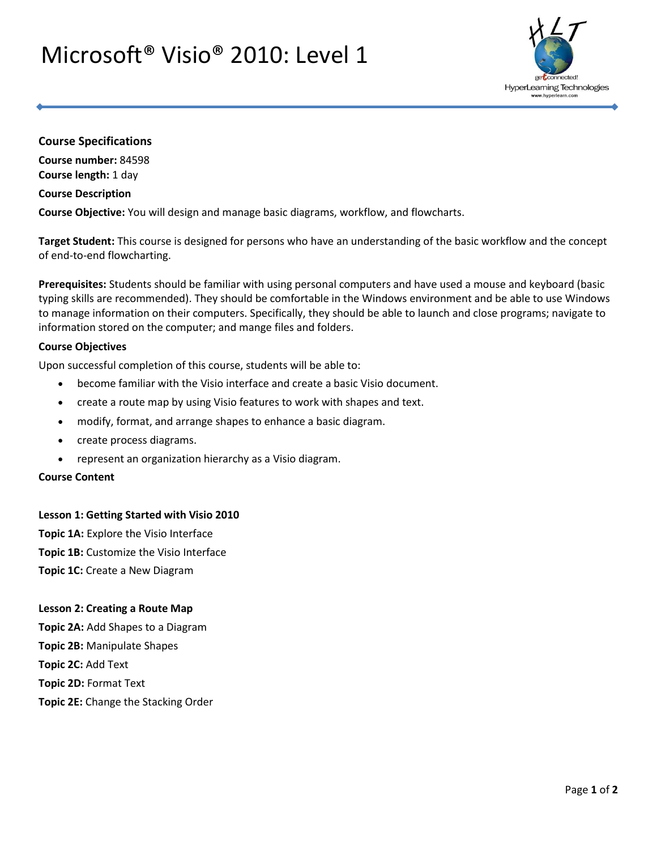# Microsoft® Visio® 2010: Level 1



# **Course Specifications**

**Course number:** 84598 **Course length:** 1 day

### **Course Description**

**Course Objective:** You will design and manage basic diagrams, workflow, and flowcharts.

**Target Student:** This course is designed for persons who have an understanding of the basic workflow and the concept of end-to-end flowcharting.

**Prerequisites:** Students should be familiar with using personal computers and have used a mouse and keyboard (basic typing skills are recommended). They should be comfortable in the Windows environment and be able to use Windows to manage information on their computers. Specifically, they should be able to launch and close programs; navigate to information stored on the computer; and mange files and folders.

### **Course Objectives**

Upon successful completion of this course, students will be able to:

- become familiar with the Visio interface and create a basic Visio document.
- create a route map by using Visio features to work with shapes and text.
- modify, format, and arrange shapes to enhance a basic diagram.
- create process diagrams.
- represent an organization hierarchy as a Visio diagram.

# **Course Content**

#### **Lesson 1: Getting Started with Visio 2010**

**Topic 1A:** Explore the Visio Interface **Topic 1B:** Customize the Visio Interface **Topic 1C:** Create a New Diagram

#### **Lesson 2: Creating a Route Map**

**Topic 2A:** Add Shapes to a Diagram **Topic 2B:** Manipulate Shapes **Topic 2C:** Add Text **Topic 2D:** Format Text

**Topic 2E:** Change the Stacking Order